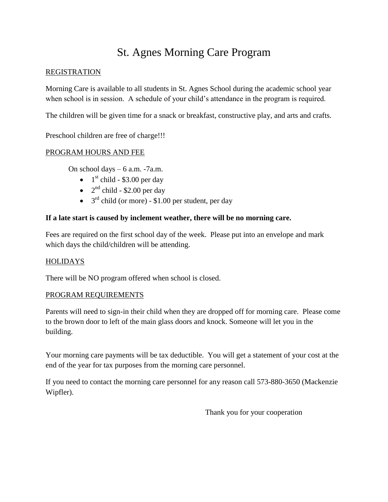# St. Agnes Morning Care Program

### **REGISTRATION**

Morning Care is available to all students in St. Agnes School during the academic school year when school is in session. A schedule of your child's attendance in the program is required.

The children will be given time for a snack or breakfast, constructive play, and arts and crafts.

Preschool children are free of charge!!!

# PROGRAM HOURS AND FEE

On school days – 6 a.m. -7a.m.

- $\bullet$  1<sup>st</sup> child \$3.00 per day
- $2<sup>nd</sup>$  child \$2.00 per day
- $3<sup>rd</sup>$  child (or more) \$1.00 per student, per day

# **If a late start is caused by inclement weather, there will be no morning care.**

Fees are required on the first school day of the week. Please put into an envelope and mark which days the child/children will be attending.

### **HOLIDAYS**

There will be NO program offered when school is closed.

### PROGRAM REQUIREMENTS

Parents will need to sign-in their child when they are dropped off for morning care. Please come to the brown door to left of the main glass doors and knock. Someone will let you in the building.

Your morning care payments will be tax deductible. You will get a statement of your cost at the end of the year for tax purposes from the morning care personnel.

If you need to contact the morning care personnel for any reason call 573-880-3650 (Mackenzie Wipfler).

Thank you for your cooperation